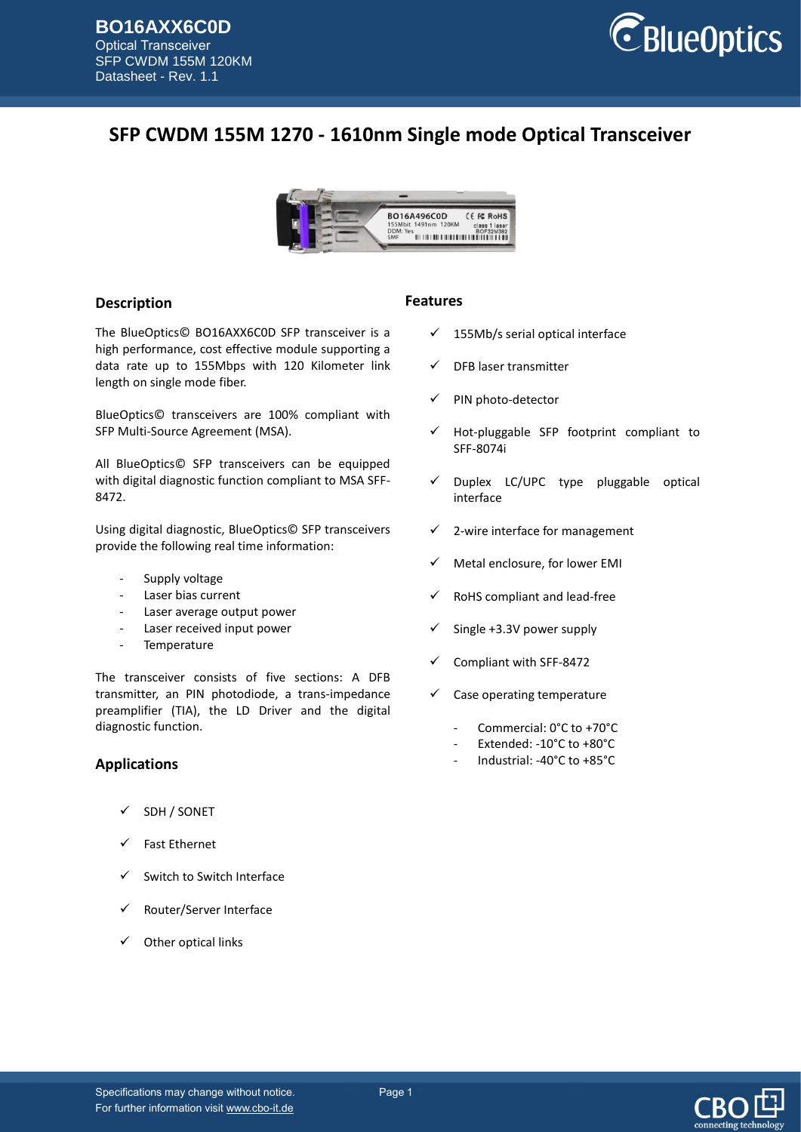

# **SFP CWDM 155M 1270 - 1610nm Single mode Optical Transceiver**



### **Description**

The BlueOptics© BO16AXX6C0D SFP transceiver is a high performance, cost effective module supporting a data rate up to 155Mbps with 120 Kilometer link length on single mode fiber.

BlueOptics© transceivers are 100% compliant with SFP Multi-Source Agreement (MSA).

All BlueOptics© SFP transceivers can be equipped with digital diagnostic function compliant to MSA SFF-8472.

Using digital diagnostic, BlueOptics© SFP transceivers provide the following real time information:

- Supply voltage
- Laser bias current
- Laser average output power
- Laser received input power
- Temperature

The transceiver consists of five sections: A DFB transmitter, an PIN photodiode, a trans-impedance preamplifier (TIA), the LD Driver and the digital diagnostic function.

### **Applications**

- SDH / SONET
- Fast Ethernet
- $\checkmark$  Switch to Switch Interface
- Router/Server Interface
- Other optical links

#### **Features**

- $\checkmark$  155Mb/s serial optical interface
- DFB laser transmitter
- PIN photo-detector
- Hot-pluggable SFP footprint compliant to SFF-8074i
- $\checkmark$  Duplex LC/UPC type pluggable optical interface
- $\checkmark$  2-wire interface for management
- Metal enclosure, for lower EMI
- RoHS compliant and lead-free
- Single +3.3V power supply
- Compliant with SFF-8472
- Case operating temperature
	- Commercial: 0°C to +70°C
	- Extended: -10°C to +80°C
	- Industrial: -40°C to +85°C

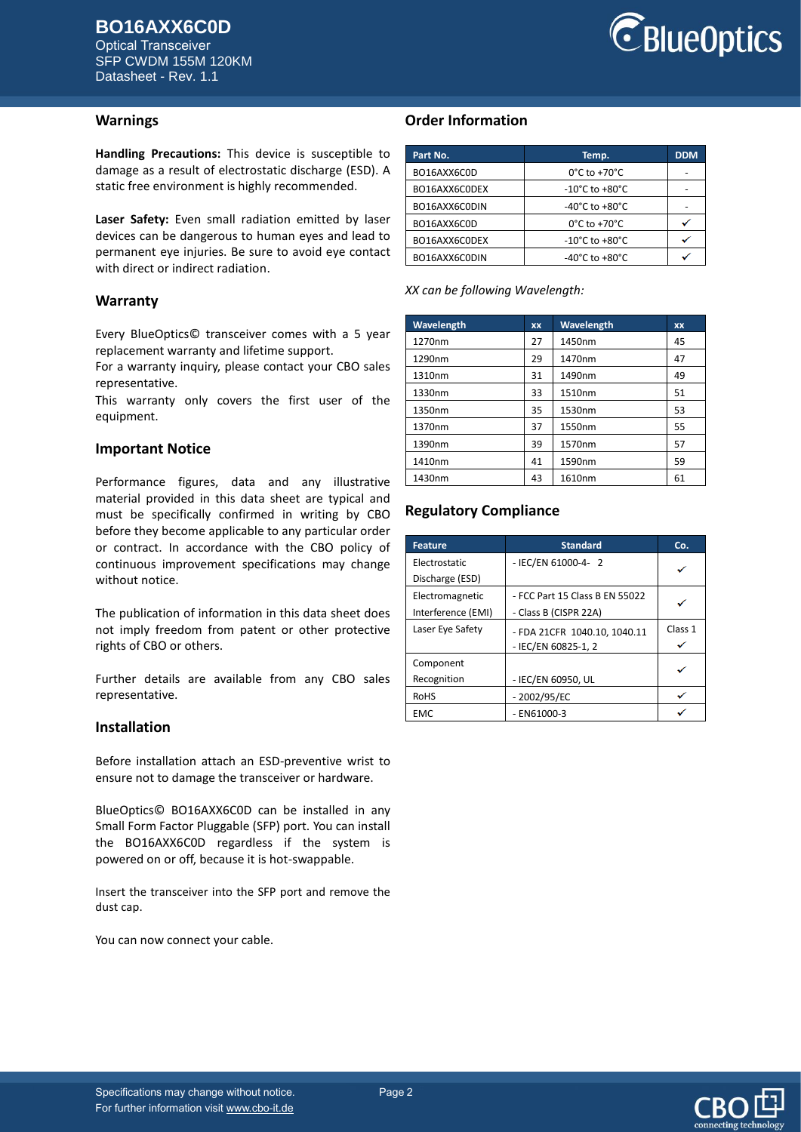Optical Transceiver SFP CWDM 155M 120KM Datasheet - Rev. 1.1



### **Warnings**

**Handling Precautions:** This device is susceptible to damage as a result of electrostatic discharge (ESD). A static free environment is highly recommended.

**Laser Safety:** Even small radiation emitted by laser devices can be dangerous to human eyes and lead to permanent eye injuries. Be sure to avoid eye contact with direct or indirect radiation.

#### **Warranty**

Every BlueOptics© transceiver comes with a 5 year replacement warranty and lifetime support.

For a warranty inquiry, please contact your CBO sales representative.

This warranty only covers the first user of the equipment.

#### **Important Notice**

Performance figures, data and any illustrative material provided in this data sheet are typical and must be specifically confirmed in writing by CBO before they become applicable to any particular order or contract. In accordance with the CBO policy of continuous improvement specifications may change without notice.

The publication of information in this data sheet does not imply freedom from patent or other protective rights of CBO or others.

Further details are available from any CBO sales representative.

#### **Installation**

Before installation attach an ESD-preventive wrist to ensure not to damage the transceiver or hardware.

BlueOptics© BO16AXX6C0D can be installed in any Small Form Factor Pluggable (SFP) port. You can install the BO16AXX6C0D regardless if the system is powered on or off, because it is hot-swappable.

Insert the transceiver into the SFP port and remove the dust cap.

You can now connect your cable.

### **Order Information**

| Part No.      | Temp.                              | <b>DDM</b> |
|---------------|------------------------------------|------------|
| BO16AXX6C0D   | $0^{\circ}$ C to +70 $^{\circ}$ C  |            |
| BO16AXX6C0DEX | -10°C to +80°C                     |            |
| BO16AXX6C0DIN | -40°C to +80°C                     |            |
| BO16AXX6C0D   | $0^{\circ}$ C to +70 $^{\circ}$ C  |            |
| BO16AXX6C0DEX | -10°C to +80°C                     |            |
| BO16AXX6C0DIN | $-40^{\circ}$ C to $+80^{\circ}$ C |            |

*XX can be following Wavelength:*

| Wavelength | <b>XX</b> | Wavelength | XX |
|------------|-----------|------------|----|
| 1270nm     | 27        | 1450nm     | 45 |
| 1290nm     | 29        | 1470nm     | 47 |
| 1310nm     | 31        | 1490nm     | 49 |
| 1330nm     | 33        | 1510nm     | 51 |
| 1350nm     | 35        | 1530nm     | 53 |
| 1370nm     | 37        | 1550nm     | 55 |
| 1390nm     | 39        | 1570nm     | 57 |
| 1410nm     | 41        | 1590nm     | 59 |
| 1430nm     | 43        | 1610nm     | 61 |

### **Regulatory Compliance**

| <b>Feature</b>     | <b>Standard</b>                | Co.     |
|--------------------|--------------------------------|---------|
| Electrostatic      | - IEC/EN 61000-4- 2            |         |
| Discharge (ESD)    |                                |         |
| Electromagnetic    | - FCC Part 15 Class B EN 55022 |         |
| Interference (EMI) | - Class B (CISPR 22A)          |         |
| Laser Eye Safety   | - FDA 21CFR 1040.10, 1040.11   | Class 1 |
|                    | - IEC/EN 60825-1, 2            |         |
| Component          |                                |         |
| Recognition        | - IEC/EN 60950, UL             |         |
| <b>RoHS</b>        | $-2002/95/EC$                  |         |
| <b>EMC</b>         | $-$ EN61000-3                  |         |

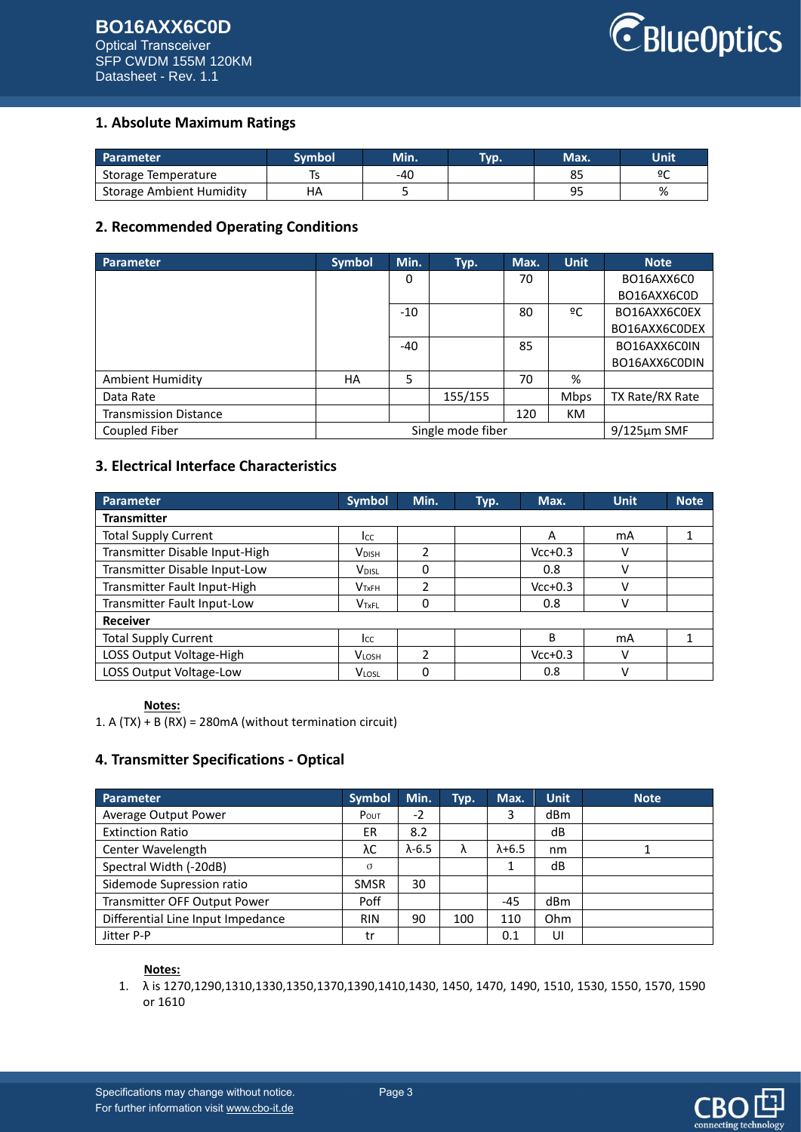# **BO16AXX6C0D** Optical Transceiver

SFP CWDM 155M 120KM Datasheet - Rev. 1.1



# **1. Absolute Maximum Ratings**

| <b>Parameter</b>         | Svmbol | <b>Min.</b> | Tvp. | Max.     | Unit |
|--------------------------|--------|-------------|------|----------|------|
| Storage Temperature      |        | -40         |      | ບ        | ºC   |
| Storage Ambient Humidity | ΗA     |             |      | OГ<br>-- | %    |

## **2. Recommended Operating Conditions**

| <b>Parameter</b>             | <b>Symbol</b> | Min.  | Typ.              | Max. | <b>Unit</b> | <b>Note</b>       |
|------------------------------|---------------|-------|-------------------|------|-------------|-------------------|
|                              |               | 0     |                   | 70   |             | BO16AXX6C0        |
|                              |               |       |                   |      |             | BO16AXX6C0D       |
|                              |               | $-10$ |                   | 80   | ºC          | BO16AXX6C0EX      |
|                              |               |       |                   |      |             | BO16AXX6C0DEX     |
|                              |               | $-40$ |                   | 85   |             | BO16AXX6C0IN      |
|                              |               |       |                   |      |             | BO16AXX6C0DIN     |
| <b>Ambient Humidity</b>      | HA            | 5     |                   | 70   | %           |                   |
| Data Rate                    |               |       | 155/155           |      | <b>Mbps</b> | TX Rate/RX Rate   |
| <b>Transmission Distance</b> |               |       |                   | 120  | <b>KM</b>   |                   |
| Coupled Fiber                |               |       | Single mode fiber |      |             | $9/125 \mu m$ SMF |

# **3. Electrical Interface Characteristics**

| Parameter                      | <b>Symbol</b>            | Min.          | Typ. | Max.      | <b>Unit</b> | <b>Note</b> |
|--------------------------------|--------------------------|---------------|------|-----------|-------------|-------------|
| <b>Transmitter</b>             |                          |               |      |           |             |             |
| <b>Total Supply Current</b>    | Icc                      |               |      | A         | mA          |             |
| Transmitter Disable Input-High | <b>V</b> <sub>DISH</sub> | 2             |      | $Vcc+0.3$ | ν           |             |
| Transmitter Disable Input-Low  | V <sub>DISL</sub>        | 0             |      | 0.8       | V           |             |
| Transmitter Fault Input-High   | V <sub>TxFH</sub>        | 2             |      | $Vcc+0.3$ | ν           |             |
| Transmitter Fault Input-Low    | V <sub>TxFL</sub>        | 0             |      | 0.8       | V           |             |
| <b>Receiver</b>                |                          |               |      |           |             |             |
| <b>Total Supply Current</b>    | Icc                      |               |      | B         | mA          |             |
| LOSS Output Voltage-High       | <b>VLOSH</b>             | $\mathfrak z$ |      | $Vcc+0.3$ | ν           |             |
| LOSS Output Voltage-Low        | <b>VLOSL</b>             | 0             |      | 0.8       | ν           |             |

### **Notes:**

1. A (TX) + B (RX) = 280mA (without termination circuit)

# **4. Transmitter Specifications - Optical**

| Parameter                         | <b>Symbol</b> | Min.           | Typ. | Max.            | <b>Unit</b> | <b>Note</b> |
|-----------------------------------|---------------|----------------|------|-----------------|-------------|-------------|
| Average Output Power              | POUT          | $-2$           |      | 3               | dBm         |             |
| <b>Extinction Ratio</b>           | ER            | 8.2            |      |                 | dB          |             |
| Center Wavelength                 | λC            | $\lambda$ -6.5 | ٨    | $\lambda + 6.5$ | nm          |             |
| Spectral Width (-20dB)            | $\sigma$      |                |      | 1               | dB          |             |
| Sidemode Supression ratio         | <b>SMSR</b>   | 30             |      |                 |             |             |
| Transmitter OFF Output Power      | Poff          |                |      | $-45$           | dBm         |             |
| Differential Line Input Impedance | <b>RIN</b>    | 90             | 100  | 110             | Ohm         |             |
| Jitter P-P                        | tr            |                |      | 0.1             | UI          |             |

### **Notes:**

1. λ is 1270,1290,1310,1330,1350,1370,1390,1410,1430, 1450, 1470, 1490, 1510, 1530, 1550, 1570, 1590 or 1610

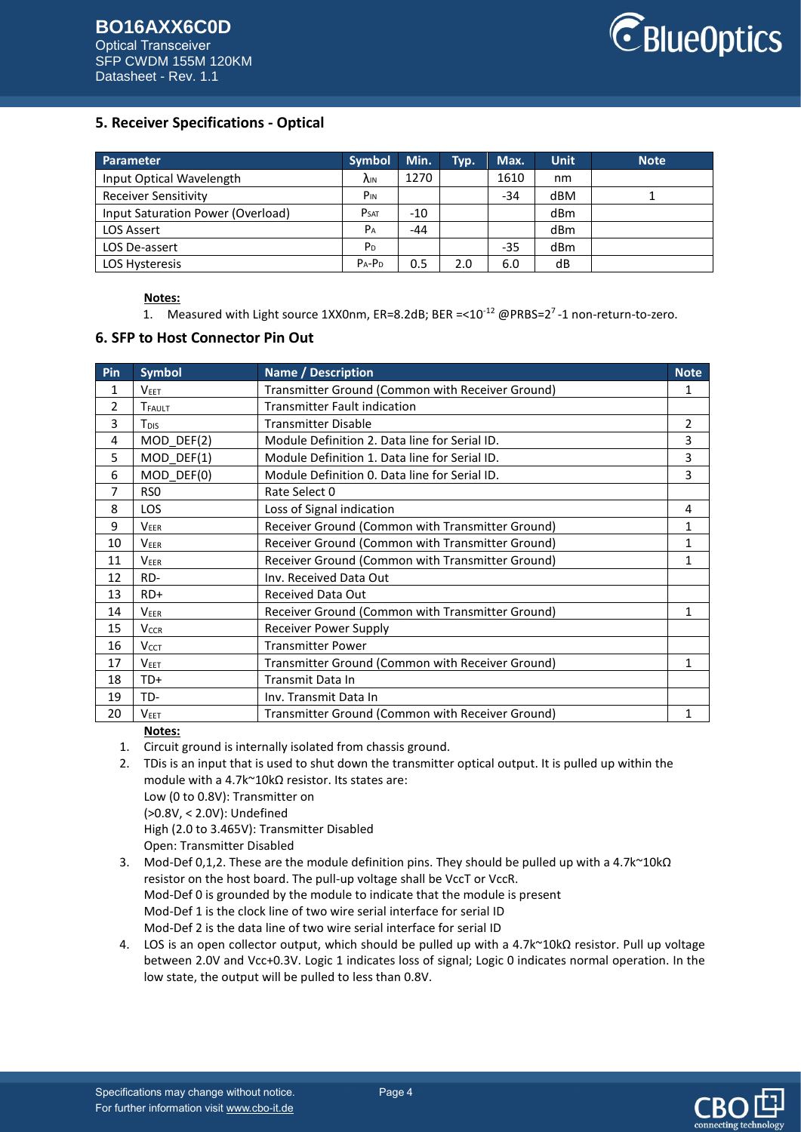

## **5. Receiver Specifications - Optical**

| Parameter                         | <b>Symbol</b>           | Min.  | Typ. | Max.  | <b>Unit</b> | <b>Note</b> |
|-----------------------------------|-------------------------|-------|------|-------|-------------|-------------|
| Input Optical Wavelength          | <b>AIN</b>              | 1270  |      | 1610  | nm          |             |
| <b>Receiver Sensitivity</b>       | P <sub>IN</sub>         |       |      | $-34$ | dBM         |             |
| Input Saturation Power (Overload) | <b>P</b> <sub>SAT</sub> | $-10$ |      |       | dBm         |             |
| <b>LOS Assert</b>                 | $P_A$                   | $-44$ |      |       | dBm         |             |
| LOS De-assert                     | P <sub>D</sub>          |       |      | $-35$ | dBm         |             |
| <b>LOS Hysteresis</b>             | $P_A-P_D$               | 0.5   | 2.0  | 6.0   | dB          |             |

#### **Notes:**

1. Measured with Light source 1XX0nm, ER=8.2dB; BER =<10<sup>-12</sup> @PRBS=2<sup>7</sup>-1 non-return-to-zero.

### **6. SFP to Host Connector Pin Out**

| Pin | <b>Symbol</b>             | <b>Name / Description</b>                        | <b>Note</b>    |
|-----|---------------------------|--------------------------------------------------|----------------|
| 1   | <b>VEET</b>               | Transmitter Ground (Common with Receiver Ground) | 1              |
| 2   | <b>T</b> <sub>FAULT</sub> | <b>Transmitter Fault indication</b>              |                |
| 3   | T <sub>DIS</sub>          | <b>Transmitter Disable</b>                       | $\overline{2}$ |
| 4   | MOD DEF(2)                | Module Definition 2. Data line for Serial ID.    | 3              |
| 5   | MOD DEF(1)                | Module Definition 1. Data line for Serial ID.    | 3              |
| 6   | MOD DEF(0)                | Module Definition 0. Data line for Serial ID.    | 3              |
| 7   | RS <sub>0</sub>           | Rate Select 0                                    |                |
| 8   | <b>LOS</b>                | Loss of Signal indication                        | 4              |
| 9   | <b>VEER</b>               | Receiver Ground (Common with Transmitter Ground) | 1              |
| 10  | <b>VEER</b>               | Receiver Ground (Common with Transmitter Ground) | 1              |
| 11  | <b>VEER</b>               | Receiver Ground (Common with Transmitter Ground) | 1              |
| 12  | RD-                       | Inv. Received Data Out                           |                |
| 13  | $RD+$                     | <b>Received Data Out</b>                         |                |
| 14  | <b>VEER</b>               | Receiver Ground (Common with Transmitter Ground) | 1              |
| 15  | <b>V<sub>CCR</sub></b>    | Receiver Power Supply                            |                |
| 16  | <b>VCCT</b>               | <b>Transmitter Power</b>                         |                |
| 17  | <b>VEET</b>               | Transmitter Ground (Common with Receiver Ground) | 1              |
| 18  | TD+                       | Transmit Data In                                 |                |
| 19  | TD-                       | Inv. Transmit Data In                            |                |
| 20  | V <sub>EET</sub>          | Transmitter Ground (Common with Receiver Ground) | 1              |

### **Notes:**

- 1. Circuit ground is internally isolated from chassis ground.
- 2. TDis is an input that is used to shut down the transmitter optical output. It is pulled up within the module with a 4.7k~10kΩ resistor. Its states are: Low (0 to 0.8V): Transmitter on (>0.8V, < 2.0V): Undefined High (2.0 to 3.465V): Transmitter Disabled Open: Transmitter Disabled
- 3. Mod-Def 0,1,2. These are the module definition pins. They should be pulled up with a 4.7k~10kΩ resistor on the host board. The pull-up voltage shall be VccT or VccR. Mod-Def 0 is grounded by the module to indicate that the module is present Mod-Def 1 is the clock line of two wire serial interface for serial ID Mod-Def 2 is the data line of two wire serial interface for serial ID
- 4. LOS is an open collector output, which should be pulled up with a 4.7k~10kΩ resistor. Pull up voltage between 2.0V and Vcc+0.3V. Logic 1 indicates loss of signal; Logic 0 indicates normal operation. In the low state, the output will be pulled to less than 0.8V.

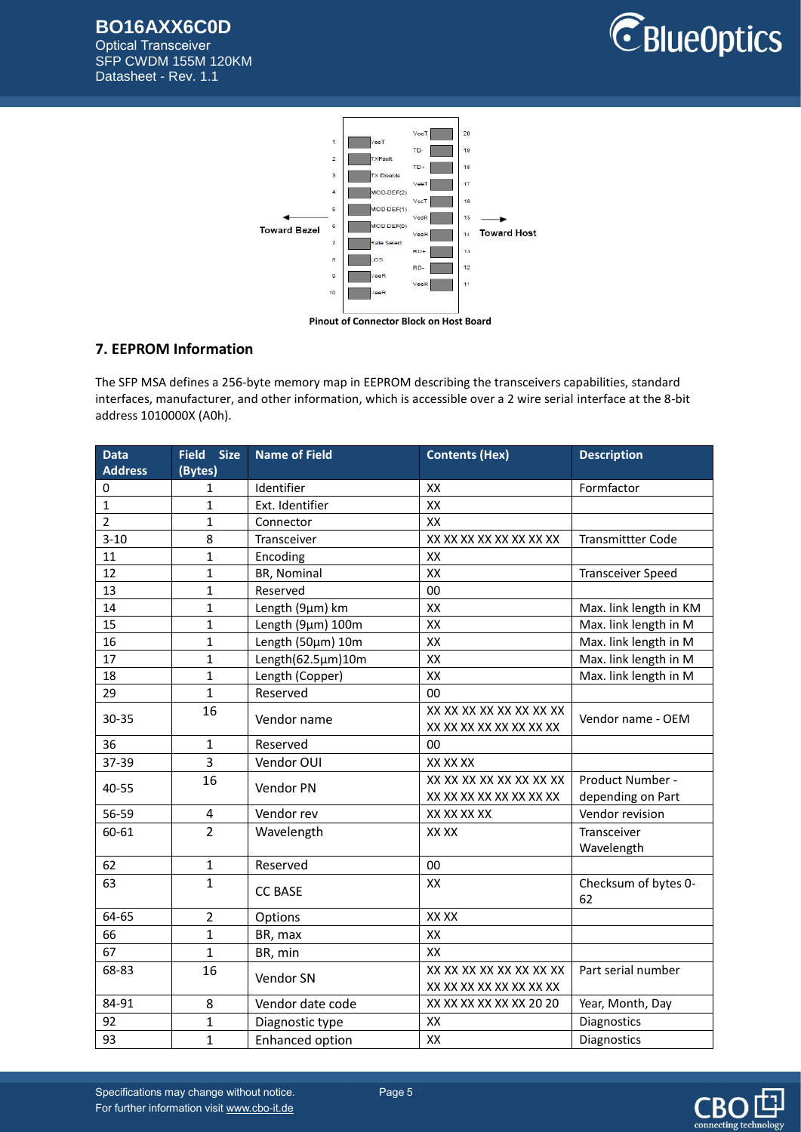# **BO16AXX6C0D**

Optical Transceiver SFP CWDM 155M 120KM Datasheet - Rev. 1.1





# **7. EEPROM Information**

The SFP MSA defines a 256-byte memory map in EEPROM describing the transceivers capabilities, standard interfaces, manufacturer, and other information, which is accessible over a 2 wire serial interface at the 8-bit address 1010000X (A0h).

| <b>Data</b>    | <b>Size</b><br><b>Field</b> | <b>Name of Field</b>   | <b>Contents (Hex)</b>   | <b>Description</b>       |
|----------------|-----------------------------|------------------------|-------------------------|--------------------------|
| <b>Address</b> | (Bytes)                     |                        |                         |                          |
| 0              | 1                           | Identifier             | XX                      | Formfactor               |
| $\mathbf{1}$   | $\mathbf{1}$                | Ext. Identifier        | XX                      |                          |
| $\overline{2}$ | $\mathbf{1}$                | Connector              | XX                      |                          |
| $3 - 10$       | 8                           | Transceiver            | XX XX XX XX XX XX XX XX | <b>Transmittter Code</b> |
| 11             | $\mathbf{1}$                | Encoding               | XX                      |                          |
| 12             | $\mathbf{1}$                | BR, Nominal            | XX                      | <b>Transceiver Speed</b> |
| 13             | $\mathbf{1}$                | Reserved               | 00                      |                          |
| 14             | $\mathbf{1}$                | Length (9µm) km        | XX                      | Max. link length in KM   |
| 15             | $\mathbf{1}$                | Length (9µm) 100m      | XX                      | Max. link length in M    |
| 16             | $\mathbf{1}$                | Length (50µm) 10m      | XX                      | Max. link length in M    |
| 17             | $\mathbf{1}$                | Length(62.5µm)10m      | XX                      | Max. link length in M    |
| 18             | $\mathbf{1}$                | Length (Copper)        | XX                      | Max. link length in M    |
| 29             | $\mathbf{1}$                | Reserved               | 00                      |                          |
| 30-35          | 16                          | Vendor name            | XX XX XX XX XX XX XX XX | Vendor name - OEM        |
|                |                             |                        | XX XX XX XX XX XX XX XX |                          |
| 36             | 1                           | Reserved               | 00                      |                          |
| 37-39          | 3                           | Vendor OUI             | XX XX XX                |                          |
| 40-55          | 16                          | Vendor PN              | XX XX XX XX XX XX XX XX | Product Number -         |
|                |                             |                        | XX XX XX XX XX XX XX XX | depending on Part        |
| 56-59          | 4                           | Vendor rev             | XX XX XX XX             | Vendor revision          |
| 60-61          | $\overline{2}$              | Wavelength             | XX XX                   | Transceiver              |
|                |                             |                        |                         | Wavelength               |
| 62             | $\mathbf{1}$                | Reserved               | 00                      |                          |
| 63             | $\mathbf{1}$                |                        | XX                      | Checksum of bytes 0-     |
|                |                             | <b>CC BASE</b>         |                         | 62                       |
| 64-65          | $\overline{2}$              | Options                | XX XX                   |                          |
| 66             | $\mathbf{1}$                | BR, max                | XX                      |                          |
| 67             | $\overline{1}$              | BR, min                | XX                      |                          |
| 68-83          | 16                          |                        | XX XX XX XX XX XX XX XX | Part serial number       |
|                |                             | Vendor SN              | XX XX XX XX XX XX XX XX |                          |
| 84-91          | 8                           | Vendor date code       | XX XX XX XX XX XX 20 20 | Year, Month, Day         |
| 92             | 1                           | Diagnostic type        | XX                      | Diagnostics              |
| 93             | $\overline{1}$              | <b>Enhanced option</b> | XX                      | Diagnostics              |



Specifications may change without notice. Page 5 For further information visi[t www.cbo-it.de](www.cbo-it.de)